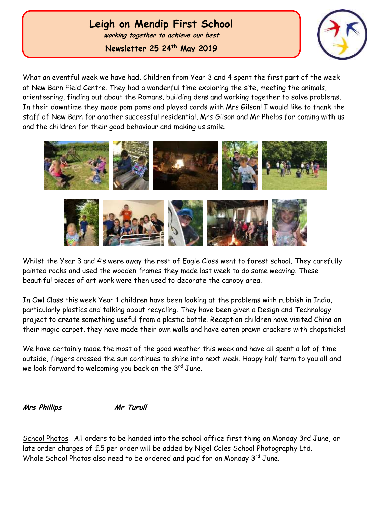# **Leigh on Mendip First School**

**working together to achieve our best**

**Newsletter 25 24th May 2019**



What an eventful week we have had. Children from Year 3 and 4 spent the first part of the week at New Barn Field Centre. They had a wonderful time exploring the site, meeting the animals, orienteering, finding out about the Romans, building dens and working together to solve problems. In their downtime they made pom poms and played cards with Mrs Gilson! I would like to thank the staff of New Barn for another successful residential, Mrs Gilson and Mr Phelps for coming with us and the children for their good behaviour and making us smile.



Whilst the Year 3 and 4's were away the rest of Eagle Class went to forest school. They carefully painted rocks and used the wooden frames they made last week to do some weaving. These beautiful pieces of art work were then used to decorate the canopy area.

In Owl Class this week Year 1 children have been looking at the problems with rubbish in India, particularly plastics and talking about recycling. They have been given a Design and Technology project to create something useful from a plastic bottle. Reception children have visited China on their magic carpet, they have made their own walls and have eaten prawn crackers with chopsticks!

We have certainly made the most of the good weather this week and have all spent a lot of time outside, fingers crossed the sun continues to shine into next week. Happy half term to you all and we look forward to welcoming you back on the  $3^{rd}$  June.

**Mrs Phillips Mr Turull**

School Photos All orders to be handed into the school office first thing on Monday 3rd June, or late order charges of £5 per order will be added by Nigel Coles School Photography Ltd. Whole School Photos also need to be ordered and paid for on Monday 3rd June.